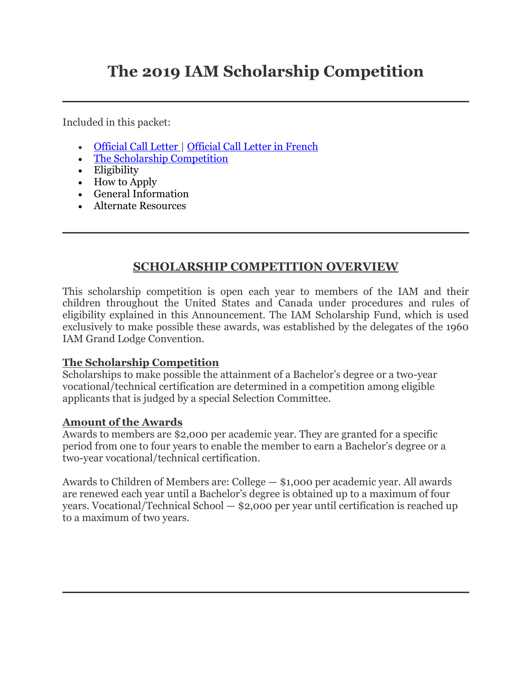# **The 2019 IAM Scholarship Competition**

Included in this packet:

- [Official Call Letter](https://www.goiam.org/wp-content/uploads/2018/09/2019-Scholarship-Signed-Call-Letter.pdf) | [Official Call Letter in French](https://www.goiam.org/wp-content/uploads/2018/09/09_18_2018_Scholarship_Call_French-Version.pdf)
- [The Scholarship Competition](https://www.goiam.org/news/departments/hq/scholarships/2019-iam-scholarship-competition-is-now-accepting-applications/)
- Eligibility
- How to Apply
- General Information
- Alternate Resources

## **SCHOLARSHIP COMPETITION OVERVIEW**

This scholarship competition is open each year to members of the IAM and their children throughout the United States and Canada under procedures and rules of eligibility explained in this Announcement. The IAM Scholarship Fund, which is used exclusively to make possible these awards, was established by the delegates of the 1960 IAM Grand Lodge Convention.

#### **The Scholarship Competition**

Scholarships to make possible the attainment of a Bachelor's degree or a two-year vocational/technical certification are determined in a competition among eligible applicants that is judged by a special Selection Committee.

#### **Amount of the Awards**

Awards to members are \$2,000 per academic year. They are granted for a specific period from one to four years to enable the member to earn a Bachelor's degree or a two-year vocational/technical certification.

Awards to Children of Members are: College — \$1,000 per academic year. All awards are renewed each year until a Bachelor's degree is obtained up to a maximum of four years. Vocational/Technical School — \$2,000 per year until certification is reached up to a maximum of two years.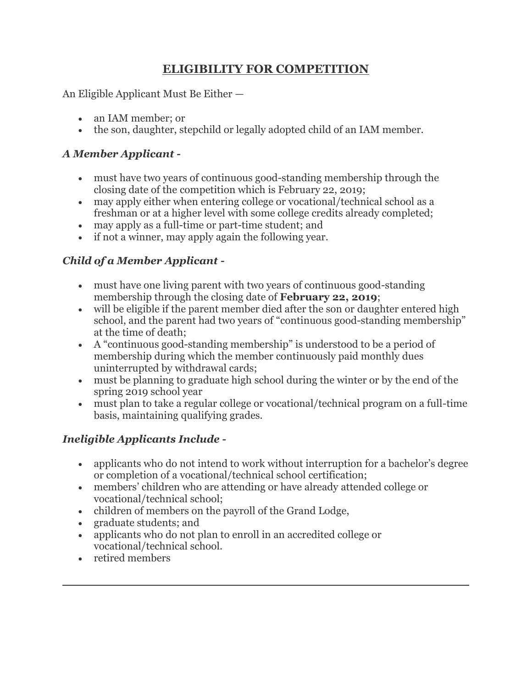## **ELIGIBILITY FOR COMPETITION**

An Eligible Applicant Must Be Either —

- an IAM member; or
- the son, daughter, stepchild or legally adopted child of an IAM member.

### *A Member Applicant -*

- must have two years of continuous good-standing membership through the closing date of the competition which is February 22, 2019;
- may apply either when entering college or vocational/technical school as a freshman or at a higher level with some college credits already completed;
- may apply as a full-time or part-time student; and
- if not a winner, may apply again the following year.

## *Child of a Member Applicant -*

- must have one living parent with two years of continuous good-standing membership through the closing date of **February 22, 2019**;
- will be eligible if the parent member died after the son or daughter entered high school, and the parent had two years of "continuous good-standing membership" at the time of death;
- A "continuous good-standing membership" is understood to be a period of membership during which the member continuously paid monthly dues uninterrupted by withdrawal cards;
- must be planning to graduate high school during the winter or by the end of the spring 2019 school year
- must plan to take a regular college or vocational/technical program on a full-time basis, maintaining qualifying grades.

# *Ineligible Applicants Include -*

- applicants who do not intend to work without interruption for a bachelor's degree or completion of a vocational/technical school certification;
- members' children who are attending or have already attended college or vocational/technical school;
- children of members on the payroll of the Grand Lodge,
- graduate students; and
- applicants who do not plan to enroll in an accredited college or vocational/technical school.
- retired members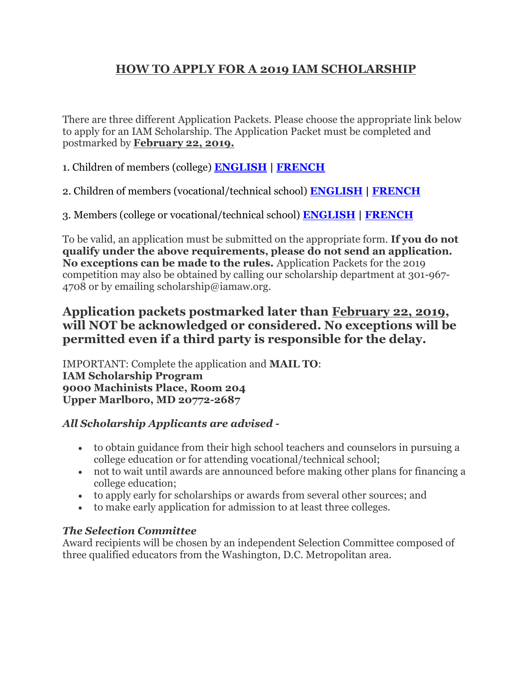# **HOW TO APPLY FOR A 2019 IAM SCHOLARSHIP**

There are three different Application Packets. Please choose the appropriate link below to apply for an IAM Scholarship. The Application Packet must be completed and postmarked by **February 22, 2019.**

1. Children of members (college) **[ENGLISH](https://www.goiam.org/wp-content/uploads/2018/09/2019-CHILD-COL-APPLICATION.pdf) | [FRENCH](https://www.goiam.org/wp-content/uploads/2018/09/2019-CHILD-COL-APPLICATION_FR.pdf)**

2. Children of members (vocational/technical school) **[ENGLISH](https://www.goiam.org/wp-content/uploads/2018/09/2019-CHILD-VT-APPLICATION.pdf) | [FRENCH](https://www.goiam.org/wp-content/uploads/2018/09/2019-CHILD-VT-APPLICATION_FR.pdf)**

3. Members (college or vocational/technical school) **[ENGLISH](https://www.goiam.org/wp-content/uploads/2018/09/2019-MEMBERS-APPLICATION.pdf) | [FRENCH](https://www.goiam.org/wp-content/uploads/2018/09/2019-MEMBERS-APPLICATION_FR.pdf)**

To be valid, an application must be submitted on the appropriate form. **If you do not qualify under the above requirements, please do not send an application. No exceptions can be made to the rules.** Application Packets for the 2019 competition may also be obtained by calling our scholarship department at 301-967- 4708 or by emailing scholarship@iamaw.org.

### **Application packets postmarked later than February 22, 2019, will NOT be acknowledged or considered. No exceptions will be permitted even if a third party is responsible for the delay.**

IMPORTANT: Complete the application and **MAIL TO**: **IAM Scholarship Program 9000 Machinists Place, Room 204 Upper Marlboro, MD 20772-2687**

#### *All Scholarship Applicants are advised -*

- to obtain guidance from their high school teachers and counselors in pursuing a college education or for attending vocational/technical school;
- not to wait until awards are announced before making other plans for financing a college education;
- to apply early for scholarships or awards from several other sources; and
- to make early application for admission to at least three colleges.

#### *The Selection Committee*

Award recipients will be chosen by an independent Selection Committee composed of three qualified educators from the Washington, D.C. Metropolitan area.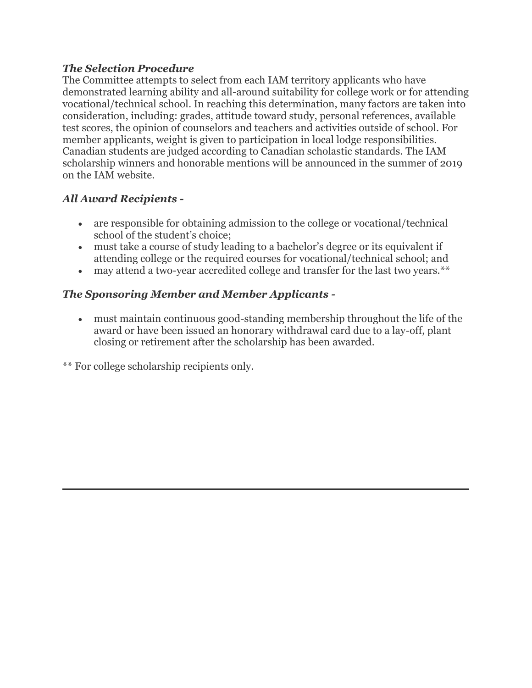#### *The Selection Procedure*

The Committee attempts to select from each IAM territory applicants who have demonstrated learning ability and all-around suitability for college work or for attending vocational/technical school. In reaching this determination, many factors are taken into consideration, including: grades, attitude toward study, personal references, available test scores, the opinion of counselors and teachers and activities outside of school. For member applicants, weight is given to participation in local lodge responsibilities. Canadian students are judged according to Canadian scholastic standards. The IAM scholarship winners and honorable mentions will be announced in the summer of 2019 on the IAM website.

#### *All Award Recipients -*

- are responsible for obtaining admission to the college or vocational/technical school of the student's choice;
- must take a course of study leading to a bachelor's degree or its equivalent if attending college or the required courses for vocational/technical school; and
- may attend a two-year accredited college and transfer for the last two years.\*\*

### *The Sponsoring Member and Member Applicants -*

 must maintain continuous good-standing membership throughout the life of the award or have been issued an honorary withdrawal card due to a lay-off, plant closing or retirement after the scholarship has been awarded.

\*\* For college scholarship recipients only.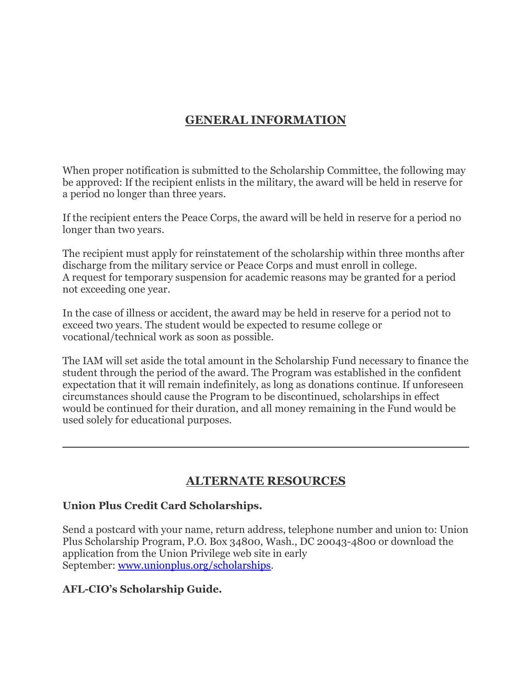# **GENERAL INFORMATION**

When proper notification is submitted to the Scholarship Committee, the following may be approved: If the recipient enlists in the military, the award will be held in reserve for a period no longer than three years.

If the recipient enters the Peace Corps, the award will be held in reserve for a period no longer than two years.

The recipient must apply for reinstatement of the scholarship within three months after discharge from the military service or Peace Corps and must enroll in college. A request for temporary suspension for academic reasons may be granted for a period not exceeding one year.

In the case of illness or accident, the award may be held in reserve for a period not to exceed two years. The student would be expected to resume college or vocational/technical work as soon as possible.

The IAM will set aside the total amount in the Scholarship Fund necessary to finance the student through the period of the award. The Program was established in the confident expectation that it will remain indefinitely, as long as donations continue. If unforeseen circumstances should cause the Program to be discontinued, scholarships in effect would be continued for their duration, and all money remaining in the Fund would be used solely for educational purposes.

### **ALTERNATE RESOURCES**

#### **Union Plus Credit Card Scholarships.**

Send a postcard with your name, return address, telephone number and union to: Union Plus Scholarship Program, P.O. Box 34800, Wash., DC 20043-4800 or download the application from the Union Privilege web site in early September: [www.unionplus.org/scholarships.](http://www.unionplus.org/scholarships)

### **AFL-CIO's Scholarship Guide.**